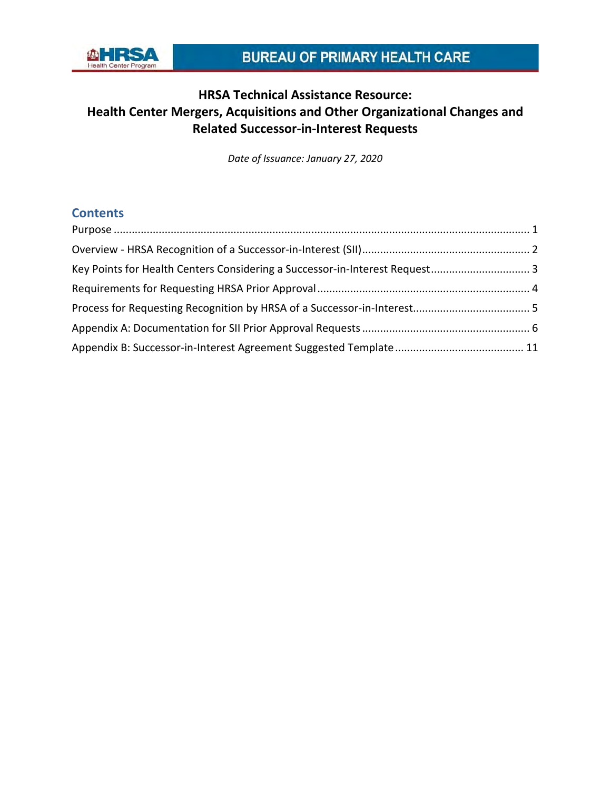

*Date of Issuance: January 27, 2020*

## **Contents**

| Key Points for Health Centers Considering a Successor-in-Interest Request 3 |  |
|-----------------------------------------------------------------------------|--|
|                                                                             |  |
|                                                                             |  |
|                                                                             |  |
|                                                                             |  |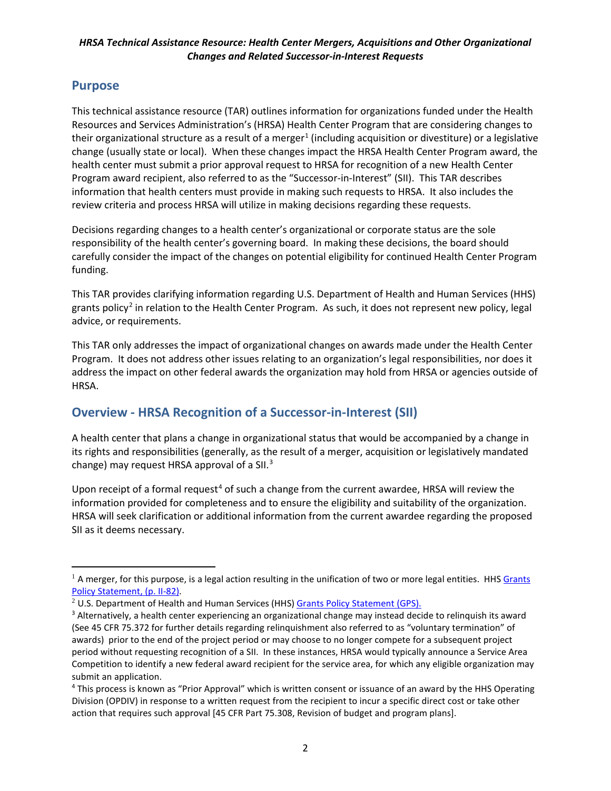### <span id="page-1-1"></span><span id="page-1-0"></span>**Purpose**

 $\overline{a}$ 

This technical assistance resource (TAR) outlines information for organizations funded under the Health Resources and Services Administration's (HRSA) Health Center Program that are considering changes to their organizational structure as a result of a merger<sup>[1](#page-1-2)</sup> (including acquisition or divestiture) or a legislative change (usually state or local). When these changes impact the HRSA Health Center Program award, the health center must submit a prior approval request to HRSA for recognition of a new Health Center Program award recipient, also referred to as the "Successor-in-Interest" (SII). This TAR describes information that health centers must provide in making such requests to HRSA. It also includes the review criteria and process HRSA will utilize in making decisions regarding these requests.

Decisions regarding changes to a health center's organizational or corporate status are the sole responsibility of the health center's governing board. In making these decisions, the board should carefully consider the impact of the changes on potential eligibility for continued Health Center Program funding.

This TAR provides clarifying information regarding U.S. Department of Health and Human Services (HHS) grants policy<sup>[2](#page-1-3)</sup> in relation to the Health Center Program. As such, it does not represent new policy, legal advice, or requirements.

This TAR only addresses the impact of organizational changes on awards made under the Health Center Program. It does not address other issues relating to an organization's legal responsibilities, nor does it address the impact on other federal awards the organization may hold from HRSA or agencies outside of HRSA.

## **Overview - HRSA Recognition of a Successor-in-Interest (SII)**

A health center that plans a change in organizational status that would be accompanied by a change in its rights and responsibilities (generally, as the result of a merger, acquisition or legislatively mandated change) may request HRSA approval of a SII.<sup>[3](#page-1-4)</sup>

Upon receipt of a formal request<sup>[4](#page-1-5)</sup> of such a change from the current awardee, HRSA will review the information provided for completeness and to ensure the eligibility and suitability of the organization. HRSA will seek clarification or additional information from the current awardee regarding the proposed SII as it deems necessary.

<span id="page-1-2"></span> $1$  A merger, for this purpose, is a legal action resulting in the unification of two or more legal entities. HHS Grants [Policy Statement, \(p. II-82\).](https://www.hrsa.gov/sites/default/files/grants/hhsgrantspolicy.pdf)

<span id="page-1-3"></span><sup>&</sup>lt;sup>2</sup> U.S. Department of Health and Human Services (HHS[\) Grants Policy Statement \(GPS\).](http://www.hrsa.gov/grants/hhsgrantspolicy.pdf)

<span id="page-1-4"></span><sup>&</sup>lt;sup>3</sup> Alternatively, a health center experiencing an organizational change may instead decide to relinquish its award (See 45 CFR 75.372 for further details regarding relinquishment also referred to as "voluntary termination" of awards) prior to the end of the project period or may choose to no longer compete for a subsequent project period without requesting recognition of a SII. In these instances, HRSA would typically announce a Service Area Competition to identify a new federal award recipient for the service area, for which any eligible organization may submit an application.

<span id="page-1-5"></span><sup>4</sup> This process is known as "Prior Approval" which is written consent or issuance of an award by the HHS Operating Division (OPDIV) in response to a written request from the recipient to incur a specific direct cost or take other action that requires such approval [45 CFR Part 75.308, Revision of budget and program plans].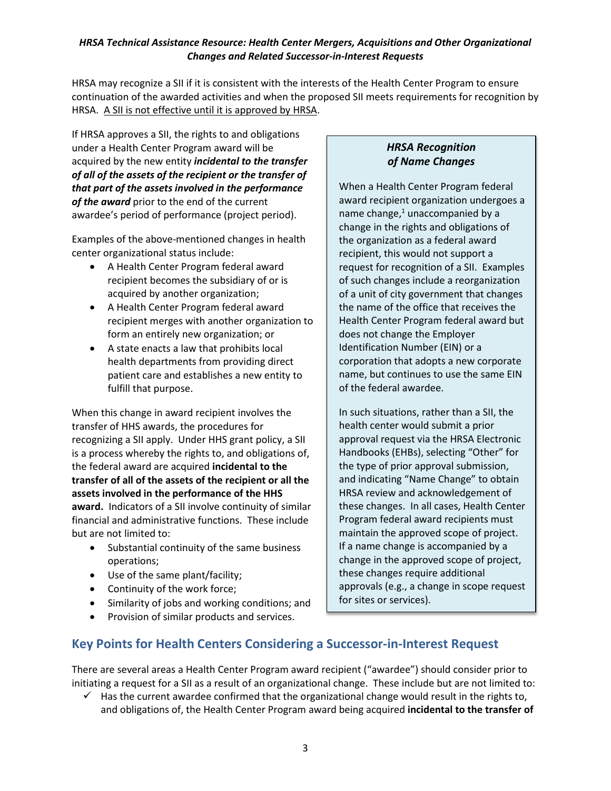HRSA may recognize a SII if it is consistent with the interests of the Health Center Program to ensure continuation of the awarded activities and when the proposed SII meets requirements for recognition by HRSA. A SII is not effective until it is approved by HRSA.

If HRSA approves a SII, the rights to and obligations under a Health Center Program award will be acquired by the new entity *incidental to the transfer of all of the assets of the recipient or the transfer of that part of the assets involved in the performance of the award* prior to the end of the current awardee's period of performance (project period).

Examples of the above-mentioned changes in health center organizational status include:

- A Health Center Program federal award recipient becomes the subsidiary of or is acquired by another organization;
- A Health Center Program federal award recipient merges with another organization to form an entirely new organization; or
- A state enacts a law that prohibits local health departments from providing direct patient care and establishes a new entity to fulfill that purpose.

When this change in award recipient involves the transfer of HHS awards, the procedures for recognizing a SII apply. Under HHS grant policy, a SII is a process whereby the rights to, and obligations of, the federal award are acquired **incidental to the transfer of all of the assets of the recipient or all the assets involved in the performance of the HHS award.** Indicators of a SII involve continuity of similar financial and administrative functions. These include but are not limited to:

- Substantial continuity of the same business operations;
- Use of the same plant/facility;
- Continuity of the work force;
- Similarity of jobs and working conditions; and
- Provision of similar products and services.

### *HRSA Recognition of Name Changes*

When a Health Center Program federal award recipient organization undergoes a name change, $1$  unaccompanied by a change in the rights and obligations of the organization as a federal award recipient, this would not support a request for recognition of a SII. Examples of such changes include a reorganization of a unit of city government that changes the name of the office that receives the Health Center Program federal award but does not change the Employer Identification Number (EIN) or a corporation that adopts a new corporate name, but continues to use the same EIN of the federal awardee.

In such situations, rather than a SII, the health center would submit a prior approval request via the HRSA Electronic Handbooks (EHBs), selecting "Other" for the type of prior approval submission, and indicating "Name Change" to obtain HRSA review and acknowledgement of these changes. In all cases, Health Center Program federal award recipients must maintain the approved scope of project. If a name change is accompanied by a change in the approved scope of project, these changes require additional approvals (e.g., a change in scope request for sites or services).

## <span id="page-2-0"></span>**Key Points for Health Centers Considering a Successor-in-Interest Request**

There are several areas a Health Center Program award recipient ("awardee") should consider prior to initiating a request for a SII as a result of an organizational change. These include but are not limited to:

 $\checkmark$  Has the current awardee confirmed that the organizational change would result in the rights to, and obligations of, the Health Center Program award being acquired **incidental to the transfer of**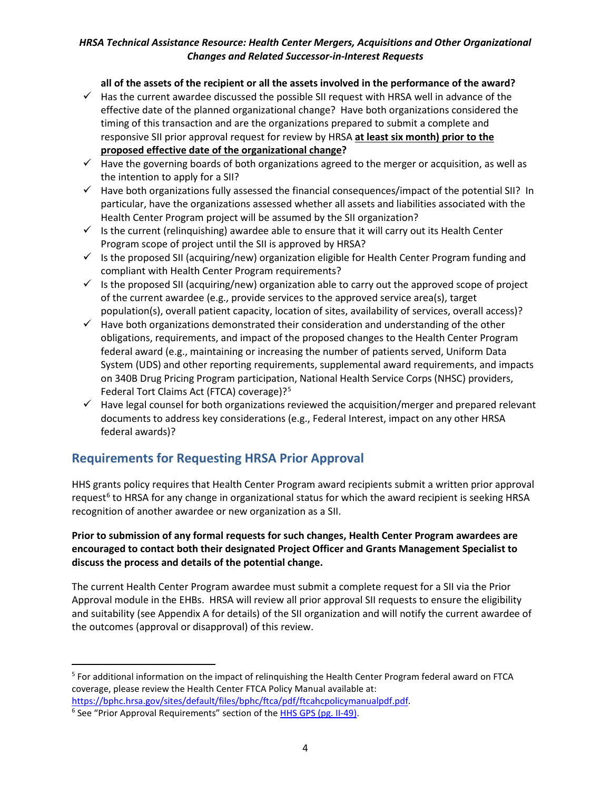#### **all of the assets of the recipient or all the assets involved in the performance of the award?**

- $\checkmark$  Has the current awardee discussed the possible SII request with HRSA well in advance of the effective date of the planned organizational change?Have both organizations considered the timing of this transaction and are the organizations prepared to submit a complete and responsive SII prior approval request for review by HRSA **at least six month) prior to the proposed effective date of the organizational change?**
- $\checkmark$  Have the governing boards of both organizations agreed to the merger or acquisition, as well as the intention to apply for a SII?
- $\checkmark$  Have both organizations fully assessed the financial consequences/impact of the potential SII? In particular, have the organizations assessed whether all assets and liabilities associated with the Health Center Program project will be assumed by the SII organization?
- $\checkmark$  Is the current (relinquishing) awardee able to ensure that it will carry out its Health Center Program scope of project until the SII is approved by HRSA?
- $\checkmark$  Is the proposed SII (acquiring/new) organization eligible for Health Center Program funding and compliant with Health Center Program requirements?
- ✓ Is the proposed SII (acquiring/new) organization able to carry out the approved scope of project of the current awardee (e.g., provide services to the approved service area(s), target population(s), overall patient capacity, location of sites, availability of services, overall access)?
- $\checkmark$  Have both organizations demonstrated their consideration and understanding of the other obligations, requirements, and impact of the proposed changes to the Health Center Program federal award (e.g., maintaining or increasing the number of patients served, Uniform Data System (UDS) and other reporting requirements, supplemental award requirements, and impacts on 340B Drug Pricing Program participation, National Health Service Corps (NHSC) providers, Federal Tort Claims Act (FTCA) coverage)?<sup>[5](#page-3-1)</sup>
- $\checkmark$  Have legal counsel for both organizations reviewed the acquisition/merger and prepared relevant documents to address key considerations (e.g., Federal Interest, impact on any other HRSA federal awards)?

## <span id="page-3-0"></span>**Requirements for Requesting HRSA Prior Approval**

HHS grants policy requires that Health Center Program award recipients submit a written prior approval request<sup>[6](#page-3-2)</sup> to HRSA for any change in organizational status for which the award recipient is seeking HRSA recognition of another awardee or new organization as a SII.

#### **Prior to submission of any formal requests for such changes, Health Center Program awardees are encouraged to contact both their designated Project Officer and Grants Management Specialist to discuss the process and details of the potential change.**

The current Health Center Program awardee must submit a complete request for a SII via the Prior Approval module in the EHBs. HRSA will review all prior approval SII requests to ensure the eligibility and suitability (see Appendix A for details) of the SII organization and will notify the current awardee of the outcomes (approval or disapproval) of this review.

 $\overline{a}$ 

<span id="page-3-1"></span><sup>5</sup> For additional information on the impact of relinquishing the Health Center Program federal award on FTCA coverage, please review the Health Center FTCA Policy Manual available at:

<span id="page-3-2"></span>[https://bphc.hrsa.gov/sites/default/files/bphc/ftca/pdf/ftcahcpolicymanualpdf.pdf.](https://bphc.hrsa.gov/sites/default/files/bphc/ftca/pdf/ftcahcpolicymanualpdf.pdf)<br><sup>6</sup> See "Prior Approval Requirements" section of the [HHS GPS](http://www.hrsa.gov/grants/hhsgrantspolicy.pdf) (pg. II-49).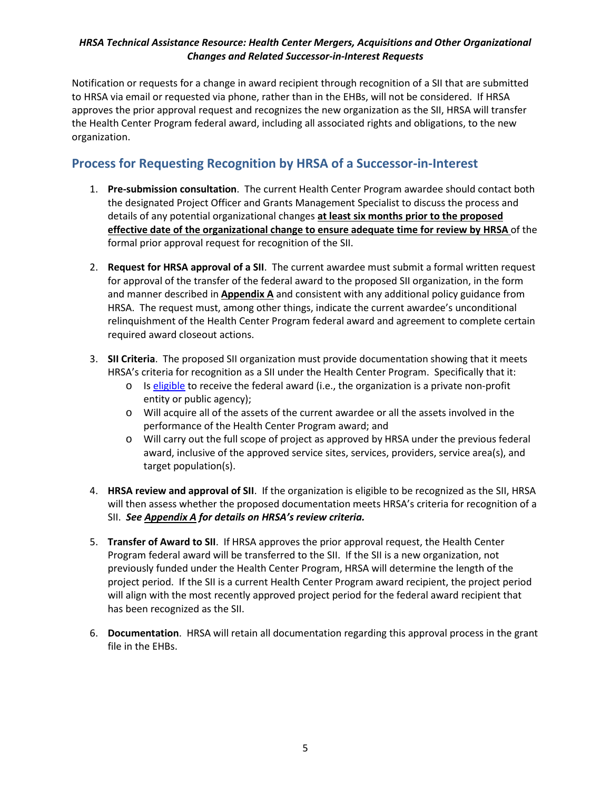Notification or requests for a change in award recipient through recognition of a SII that are submitted to HRSA via email or requested via phone, rather than in the EHBs, will not be considered. If HRSA approves the prior approval request and recognizes the new organization as the SII, HRSA will transfer the Health Center Program federal award, including all associated rights and obligations, to the new organization.

## <span id="page-4-0"></span>**Process for Requesting Recognition by HRSA of a Successor-in-Interest**

- 1. **Pre-submission consultation**. The current Health Center Program awardee should contact both the designated Project Officer and Grants Management Specialist to discuss the process and details of any potential organizational changes **at least six months prior to the proposed effective date of the organizational change to ensure adequate time for review by HRSA** of the formal prior approval request for recognition of the SII.
- 2. **Request for HRSA approval of a SII**. The current awardee must submit a formal written request for approval of the transfer of the federal award to the proposed SII organization, in the form and manner described in **Appendix A** and consistent with any additional policy guidance from HRSA. The request must, among other things, indicate the current awardee's unconditional relinquishment of the Health Center Program federal award and agreement to complete certain required award closeout actions.
- 3. **SII Criteria**. The proposed SII organization must provide documentation showing that it meets HRSA's criteria for recognition as a SII under the Health Center Program. Specifically that it:
	- I[s eligible](https://bphc.hrsa.gov/programrequirements/compliancemanual/chapter-1.html#titletop) to receive the federal award (i.e., the organization is a private non-profit entity or public agency);
	- Will acquire all of the assets of the current awardee or all the assets involved in the performance of the Health Center Program award; and
	- Will carry out the full scope of project as approved by HRSA under the previous federal award, inclusive of the approved service sites, services, providers, service area(s), and target population(s).
- 4. **HRSA review and approval of SII**. If the organization is eligible to be recognized as the SII, HRSA will then assess whether the proposed documentation meets HRSA's criteria for recognition of a SII. *See Appendix A for details on HRSA's review criteria.*
- 5. **Transfer of Award to SII**. If HRSA approves the prior approval request, the Health Center Program federal award will be transferred to the SII. If the SII is a new organization, not previously funded under the Health Center Program, HRSA will determine the length of the project period. If the SII is a current Health Center Program award recipient, the project period will align with the most recently approved project period for the federal award recipient that has been recognized as the SII.
- 6. **Documentation**. HRSA will retain all documentation regarding this approval process in the grant file in the EHBs.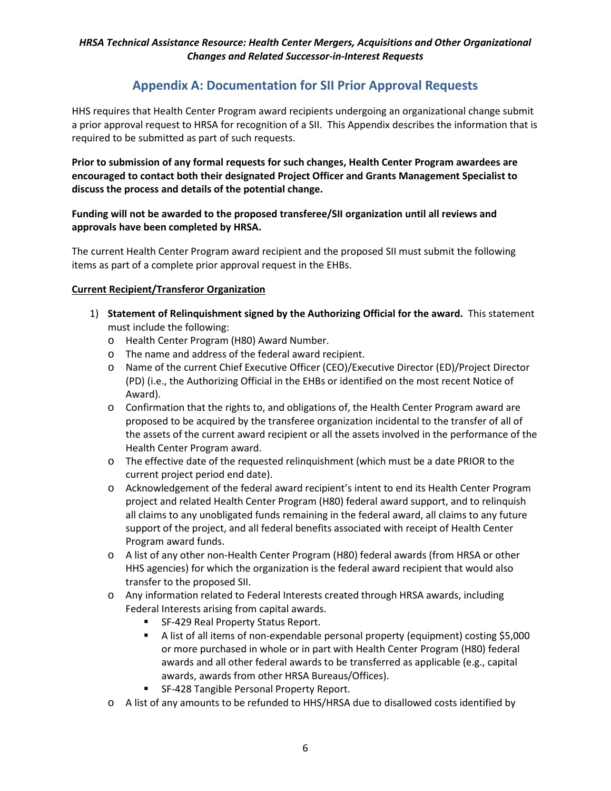## **Appendix A: Documentation for SII Prior Approval Requests**

<span id="page-5-0"></span>HHS requires that Health Center Program award recipients undergoing an organizational change submit a prior approval request to HRSA for recognition of a SII. This Appendix describes the information that is required to be submitted as part of such requests.

**Prior to submission of any formal requests for such changes, Health Center Program awardees are encouraged to contact both their designated Project Officer and Grants Management Specialist to discuss the process and details of the potential change.**

#### **Funding will not be awarded to the proposed transferee/SII organization until all reviews and approvals have been completed by HRSA.**

The current Health Center Program award recipient and the proposed SII must submit the following items as part of a complete prior approval request in the EHBs.

#### **Current Recipient/Transferor Organization**

- 1) **Statement of Relinquishment signed by the Authorizing Official for the award.** This statement must include the following:
	- Health Center Program (H80) Award Number.
	- The name and address of the federal award recipient.
	- Name of the current Chief Executive Officer (CEO)/Executive Director (ED)/Project Director (PD) (i.e., the Authorizing Official in the EHBs or identified on the most recent Notice of Award).
	- Confirmation that the rights to, and obligations of, the Health Center Program award are proposed to be acquired by the transferee organization incidental to the transfer of all of the assets of the current award recipient or all the assets involved in the performance of the Health Center Program award.
	- The effective date of the requested relinquishment (which must be a date PRIOR to the current project period end date).
	- Acknowledgement of the federal award recipient's intent to end its Health Center Program project and related Health Center Program (H80) federal award support, and to relinquish all claims to any unobligated funds remaining in the federal award, all claims to any future support of the project, and all federal benefits associated with receipt of Health Center Program award funds.
	- A list of any other non-Health Center Program (H80) federal awards (from HRSA or other HHS agencies) for which the organization is the federal award recipient that would also transfer to the proposed SII.
	- Any information related to Federal Interests created through HRSA awards, including Federal Interests arising from capital awards.
		- SF-429 Real Property Status Report.
		- A list of all items of non-expendable personal property (equipment) costing \$5,000 or more purchased in whole or in part with Health Center Program (H80) federal awards and all other federal awards to be transferred as applicable (e.g., capital awards, awards from other HRSA Bureaus/Offices).
		- SF-428 Tangible Personal Property Report.
	- A list of any amounts to be refunded to HHS/HRSA due to disallowed costs identified by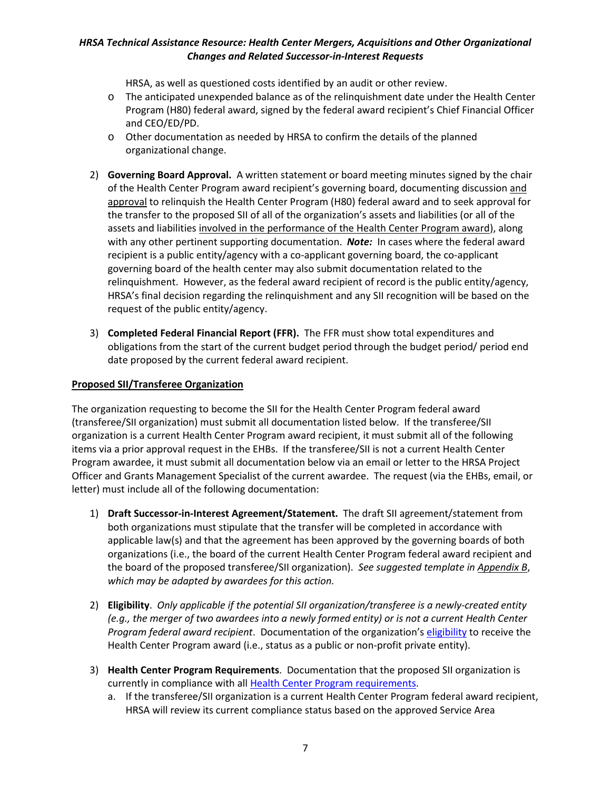HRSA, as well as questioned costs identified by an audit or other review.

- The anticipated unexpended balance as of the relinquishment date under the Health Center Program (H80) federal award, signed by the federal award recipient's Chief Financial Officer and CEO/ED/PD.
- Other documentation as needed by HRSA to confirm the details of the planned organizational change.
- 2) **Governing Board Approval.** A written statement or board meeting minutes signed by the chair of the Health Center Program award recipient's governing board, documenting discussion and approval to relinquish the Health Center Program (H80) federal award and to seek approval for the transfer to the proposed SII of all of the organization's assets and liabilities (or all of the assets and liabilities involved in the performance of the Health Center Program award), along with any other pertinent supporting documentation. *Note:* In cases where the federal award recipient is a public entity/agency with a co-applicant governing board, the co-applicant governing board of the health center may also submit documentation related to the relinquishment. However, as the federal award recipient of record is the public entity/agency, HRSA's final decision regarding the relinquishment and any SII recognition will be based on the request of the public entity/agency.
- 3) **Completed Federal Financial Report (FFR).**The FFR must show total expenditures and obligations from the start of the current budget period through the budget period/ period end date proposed by the current federal award recipient.

#### **Proposed SII/Transferee Organization**

The organization requesting to become the SII for the Health Center Program federal award (transferee/SII organization) must submit all documentation listed below. If the transferee/SII organization is a current Health Center Program award recipient, it must submit all of the following items via a prior approval request in the EHBs. If the transferee/SII is not a current Health Center Program awardee, it must submit all documentation below via an email or letter to the HRSA Project Officer and Grants Management Specialist of the current awardee. The request (via the EHBs, email, or letter) must include all of the following documentation:

- 1) **Draft Successor-in-Interest Agreement/Statement.** The draft SII agreement/statement from both organizations must stipulate that the transfer will be completed in accordance with applicable law(s) and that the agreement has been approved by the governing boards of both organizations (i.e., the board of the current Health Center Program federal award recipient and the board of the proposed transferee/SII organization). *See suggested template in Appendix B*, *which may be adapted by awardees for this action.*
- 2) **Eligibility**. *Only applicable if the potential SII organization/transferee is a newly-created entity (e.g., the merger of two awardees into a newly formed entity) or is not a current Health Center Program federal award recipient*. Documentation of the organization'[s eligibility](https://bphc.hrsa.gov/programrequirements/compliancemanual/chapter-1.html#titletop) to receive the Health Center Program award (i.e., status as a public or non-profit private entity).
- 3) **Health Center Program Requirements**. Documentation that the proposed SII organization is currently in compliance with al[l Health Center Program requirements.](https://bphc.hrsa.gov/programrequirements/compliancemanual/introduction.html)
	- a. If the transferee/SII organization is a current Health Center Program federal award recipient, HRSA will review its current compliance status based on the approved Service Area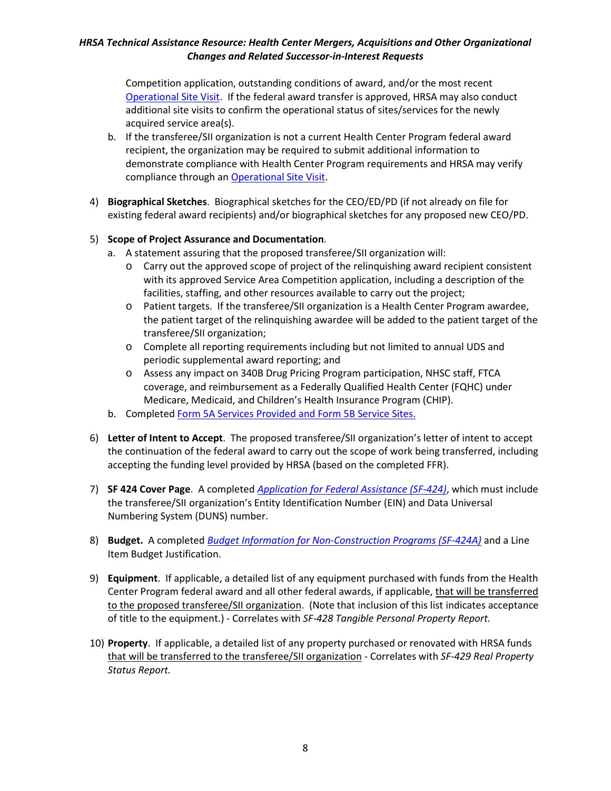Competition application, outstanding conditions of award, and/or the most recent [Operational Site Visit.](https://bphc.hrsa.gov/programrequirements/svprotocol.html) If the federal award transfer is approved, HRSA may also conduct additional site visits to confirm the operational status of sites/services for the newly acquired service area(s).

- b. If the transferee/SII organization is not a current Health Center Program federal award recipient, the organization may be required to submit additional information to demonstrate compliance with Health Center Program requirements and HRSA may verify compliance through an [Operational Site Visit.](https://bphc.hrsa.gov/programrequirements/svprotocol.html)
- 4) **Biographical Sketches**. Biographical sketches for the CEO/ED/PD (if not already on file for existing federal award recipients) and/or biographical sketches for any proposed new CEO/PD.

#### 5) **Scope of Project Assurance and Documentation**.

- a. A statement assuring that the proposed transferee/SII organization will:
	- Carry out the approved scope of project of the relinquishing award recipient consistent with its approved Service Area Competition application, including a description of the facilities, staffing, and other resources available to carry out the project;
	- Patient targets. If the transferee/SII organization is a Health Center Program awardee, the patient target of the relinquishing awardee will be added to the patient target of the transferee/SII organization;
	- Complete all reporting requirements including but not limited to annual UDS and periodic supplemental award reporting; and
	- Assess any impact on 340B Drug Pricing Program participation, NHSC staff, FTCA coverage, and reimbursement as a Federally Qualified Health Center (FQHC) under Medicare, Medicaid, and Children's Health Insurance Program (CHIP).
- b. Complete[d Form 5A Services Provided and Form 5B Service Sites.](http://www.bphc.hrsa.gov/programrequirements/scope.html)
- 6) **Letter of Intent to Accept**. The proposed transferee/SII organization's letter of intent to accept the continuation of the federal award to carry out the scope of work being transferred, including accepting the funding level provided by HRSA (based on the completed FFR).
- 7) **SF 424 Cover Page**. A completed *[Application for Federal Assistance \(SF-424\)](http://www.grants.gov/web/grants/forms/sf-424-family.html#sortby=1)*, which must include the transferee/SII organization's Entity Identification Number (EIN) and Data Universal Numbering System (DUNS) number.
- 8) **Budget.** A completed *Budget Information for [Non-Construction Programs \(SF-424A\)](http://www.grants.gov/web/grants/forms/sf-424-family.html#sortby=1)* and a Line Item Budget Justification.
- 9) **Equipment**. If applicable, a detailed list of any equipment purchased with funds from the Health Center Program federal award and all other federal awards, if applicable, that will be transferred to the proposed transferee/SII organization. (Note that inclusion of this list indicates acceptance of title to the equipment.) - Correlates with *SF-428 Tangible Personal Property Report.*
- 10) **Property**. If applicable, a detailed list of any property purchased or renovated with HRSA funds that will be transferred to the transferee/SII organization - Correlates with *SF-429 Real Property Status Report.*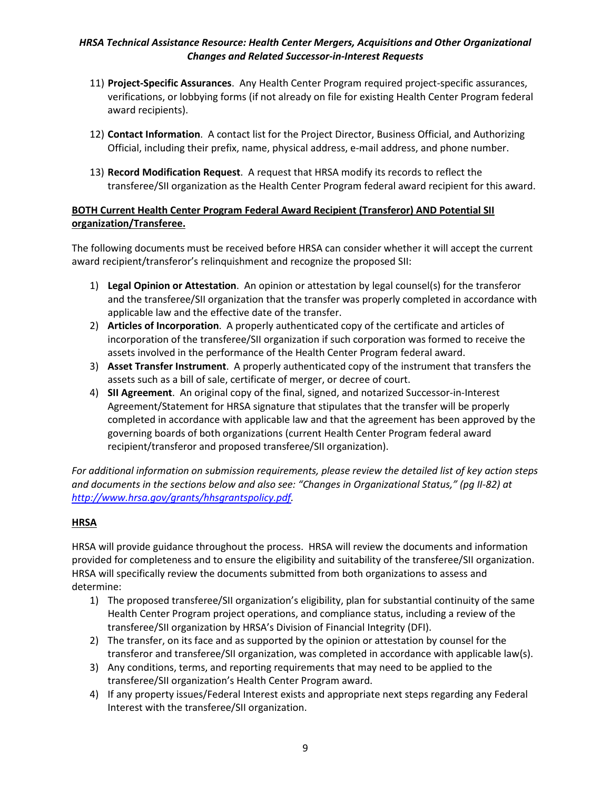- 11) **Project-Specific Assurances**. Any Health Center Program required project-specific assurances, verifications, or lobbying forms (if not already on file for existing Health Center Program federal award recipients).
- 12) **Contact Information**. A contact list for the Project Director, Business Official, and Authorizing Official, including their prefix, name, physical address, e-mail address, and phone number.
- 13) **Record Modification Request**. A request that HRSA modify its records to reflect the transferee/SII organization as the Health Center Program federal award recipient for this award.

#### **BOTH Current Health Center Program Federal Award Recipient (Transferor) AND Potential SII organization/Transferee.**

The following documents must be received before HRSA can consider whether it will accept the current award recipient/transferor's relinquishment and recognize the proposed SII:

- 1) **Legal Opinion or Attestation**. An opinion or attestation by legal counsel(s) for the transferor and the transferee/SII organization that the transfer was properly completed in accordance with applicable law and the effective date of the transfer.
- 2) **Articles of Incorporation**. A properly authenticated copy of the certificate and articles of incorporation of the transferee/SII organization if such corporation was formed to receive the assets involved in the performance of the Health Center Program federal award.
- 3) **Asset Transfer Instrument**. A properly authenticated copy of the instrument that transfers the assets such as a bill of sale, certificate of merger, or decree of court.
- 4) **SII Agreement**. An original copy of the final, signed, and notarized Successor-in-Interest Agreement/Statement for HRSA signature that stipulates that the transfer will be properly completed in accordance with applicable law and that the agreement has been approved by the governing boards of both organizations (current Health Center Program federal award recipient/transferor and proposed transferee/SII organization).

*For additional information on submission requirements, please review the detailed list of key action steps and documents in the sections below and also see: "Changes in Organizational Status," (pg II-82) at [http://www.hrsa.gov/grants/hhsgrantspolicy.pdf.](http://www.hrsa.gov/grants/hhsgrantspolicy.pdf)* 

#### **HRSA**

HRSA will provide guidance throughout the process. HRSA will review the documents and information provided for completeness and to ensure the eligibility and suitability of the transferee/SII organization. HRSA will specifically review the documents submitted from both organizations to assess and determine:

- 1) The proposed transferee/SII organization's eligibility, plan for substantial continuity of the same Health Center Program project operations, and compliance status, including a review of the transferee/SII organization by HRSA's Division of Financial Integrity (DFI).
- 2) The transfer, on its face and as supported by the opinion or attestation by counsel for the transferor and transferee/SII organization, was completed in accordance with applicable law(s).
- 3) Any conditions, terms, and reporting requirements that may need to be applied to the transferee/SII organization's Health Center Program award.
- 4) If any property issues/Federal Interest exists and appropriate next steps regarding any Federal Interest with the transferee/SII organization.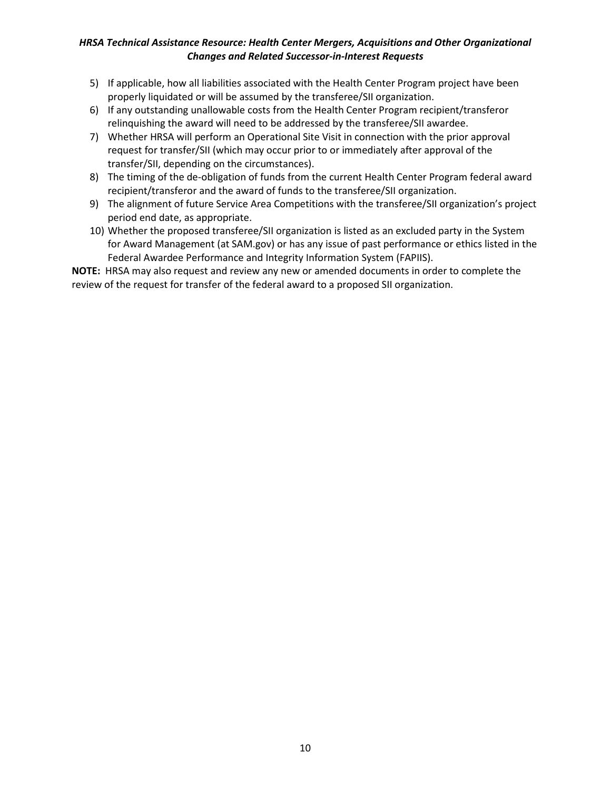- 5) If applicable, how all liabilities associated with the Health Center Program project have been properly liquidated or will be assumed by the transferee/SII organization.
- 6) If any outstanding unallowable costs from the Health Center Program recipient/transferor relinquishing the award will need to be addressed by the transferee/SII awardee.
- 7) Whether HRSA will perform an Operational Site Visit in connection with the prior approval request for transfer/SII (which may occur prior to or immediately after approval of the transfer/SII, depending on the circumstances).
- 8) The timing of the de-obligation of funds from the current Health Center Program federal award recipient/transferor and the award of funds to the transferee/SII organization.
- 9) The alignment of future Service Area Competitions with the transferee/SII organization's project period end date, as appropriate.
- 10) Whether the proposed transferee/SII organization is listed as an excluded party in the System for Award Management (at SAM.gov) or has any issue of past performance or ethics listed in the Federal Awardee Performance and Integrity Information System (FAPIIS).

**NOTE:** HRSA may also request and review any new or amended documents in order to complete the review of the request for transfer of the federal award to a proposed SII organization.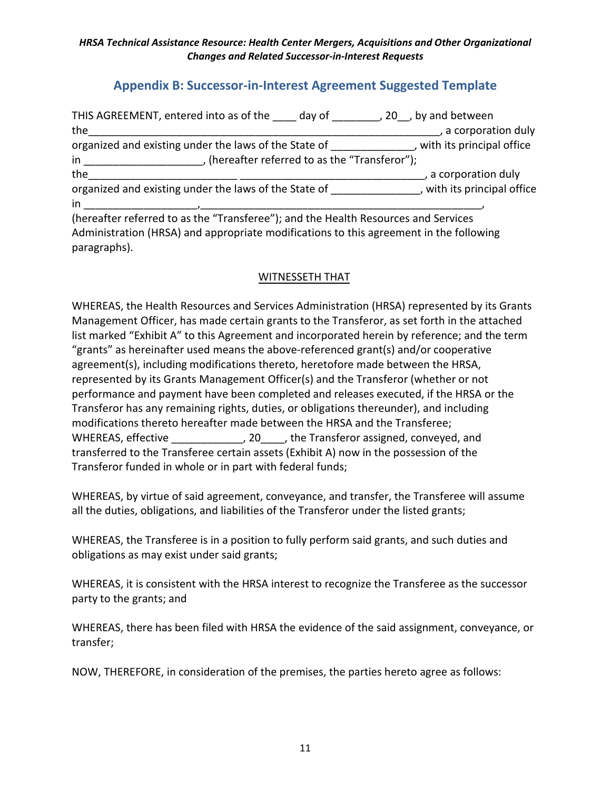### **Appendix B: Successor-in-Interest Agreement Suggested Template**

<span id="page-10-0"></span>

| THIS AGREEMENT, entered into as of the day of the gas and between                                                                        |                             |
|------------------------------------------------------------------------------------------------------------------------------------------|-----------------------------|
| the                                                                                                                                      | , a corporation duly        |
| organized and existing under the laws of the State of The State of Theorem 2011 and existing under the laws of the State of Theorem 2013 |                             |
| $in$ $\blacksquare$<br>, (hereafter referred to as the "Transferor");                                                                    |                             |
| the                                                                                                                                      | , a corporation duly        |
| organized and existing under the laws of the State of                                                                                    | , with its principal office |
| in                                                                                                                                       |                             |
| (hereafter referred to as the "Transferee"); and the Health Resources and Services                                                       |                             |
| Administration (HRSA) and appropriate modifications to this agreement in the following<br>paragraphs).                                   |                             |

### WITNESSETH THAT

WHEREAS, the Health Resources and Services Administration (HRSA) represented by its Grants Management Officer, has made certain grants to the Transferor, as set forth in the attached list marked "Exhibit A" to this Agreement and incorporated herein by reference; and the term "grants" as hereinafter used means the above-referenced grant(s) and/or cooperative agreement(s), including modifications thereto, heretofore made between the HRSA, represented by its Grants Management Officer(s) and the Transferor (whether or not performance and payment have been completed and releases executed, if the HRSA or the Transferor has any remaining rights, duties, or obligations thereunder), and including modifications thereto hereafter made between the HRSA and the Transferee; WHEREAS, effective \_\_\_\_\_\_\_\_\_\_\_\_, 20\_\_\_\_, the Transferor assigned, conveyed, and transferred to the Transferee certain assets (Exhibit A) now in the possession of the Transferor funded in whole or in part with federal funds;

WHEREAS, by virtue of said agreement, conveyance, and transfer, the Transferee will assume all the duties, obligations, and liabilities of the Transferor under the listed grants;

WHEREAS, the Transferee is in a position to fully perform said grants, and such duties and obligations as may exist under said grants;

WHEREAS, it is consistent with the HRSA interest to recognize the Transferee as the successor party to the grants; and

WHEREAS, there has been filed with HRSA the evidence of the said assignment, conveyance, or transfer;

NOW, THEREFORE, in consideration of the premises, the parties hereto agree as follows: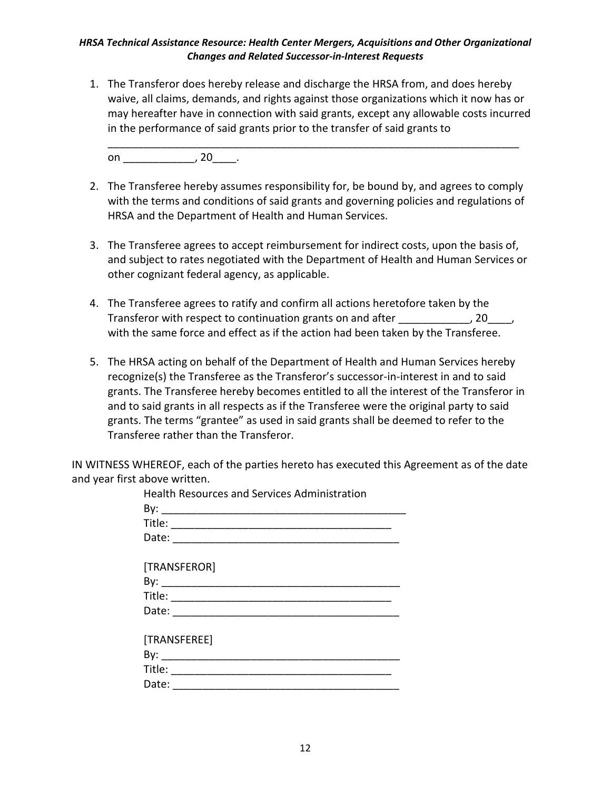1. The Transferor does hereby release and discharge the HRSA from, and does hereby waive, all claims, demands, and rights against those organizations which it now has or may hereafter have in connection with said grants, except any allowable costs incurred in the performance of said grants prior to the transfer of said grants to

\_\_\_\_\_\_\_\_\_\_\_\_\_\_\_\_\_\_\_\_\_\_\_\_\_\_\_\_\_\_\_\_\_\_\_\_\_\_\_\_\_\_\_\_\_\_\_\_\_\_\_\_\_\_\_\_\_\_\_\_\_\_\_\_\_\_\_\_\_

on , 20 .

- 2. The Transferee hereby assumes responsibility for, be bound by, and agrees to comply with the terms and conditions of said grants and governing policies and regulations of HRSA and the Department of Health and Human Services.
- 3. The Transferee agrees to accept reimbursement for indirect costs, upon the basis of, and subject to rates negotiated with the Department of Health and Human Services or other cognizant federal agency, as applicable.
- 4. The Transferee agrees to ratify and confirm all actions heretofore taken by the Transferor with respect to continuation grants on and after  $\qquad \qquad$ , 20 $\qquad$ , with the same force and effect as if the action had been taken by the Transferee.
- 5. The HRSA acting on behalf of the Department of Health and Human Services hereby recognize(s) the Transferee as the Transferor's successor-in-interest in and to said grants. The Transferee hereby becomes entitled to all the interest of the Transferor in and to said grants in all respects as if the Transferee were the original party to said grants. The terms "grantee" as used in said grants shall be deemed to refer to the Transferee rather than the Transferor.

IN WITNESS WHEREOF, each of the parties hereto has executed this Agreement as of the date and year first above written.

| <b>Health Resources and Services Administration</b>                                                 |
|-----------------------------------------------------------------------------------------------------|
|                                                                                                     |
|                                                                                                     |
|                                                                                                     |
|                                                                                                     |
| [TRANSFEROR]                                                                                        |
|                                                                                                     |
|                                                                                                     |
|                                                                                                     |
|                                                                                                     |
| [TRANSFEREE]                                                                                        |
|                                                                                                     |
|                                                                                                     |
| Date: $\frac{1}{\sqrt{1-\frac{1}{2}}\sqrt{1-\frac{1}{2}}\sqrt{1-\frac{1}{2}}\sqrt{1-\frac{1}{2}}}}$ |